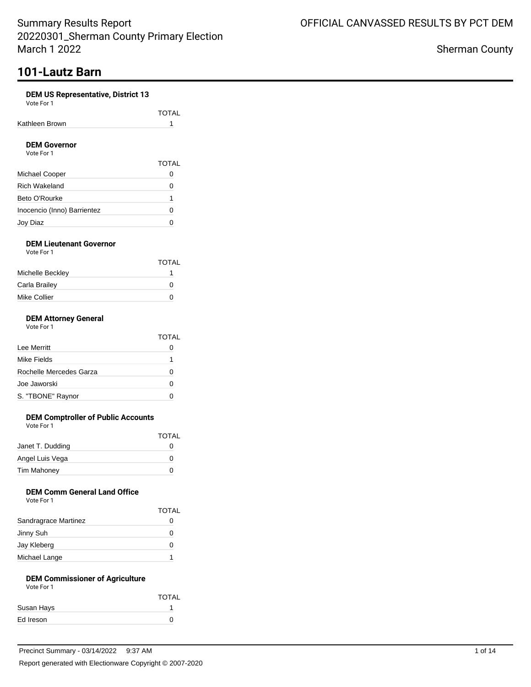# **101-Lautz Barn**

### **DEM US Representative, District 13**

Vote For 1

|                | <b>TOTAL</b> |
|----------------|--------------|
| Kathleen Brown |              |
|                |              |

#### **DEM Governor** Vote For 1

| Vote For 1                  |              |
|-----------------------------|--------------|
|                             | <b>TOTAL</b> |
| Michael Cooper              |              |
| <b>Rich Wakeland</b>        | Ω            |
| Beto O'Rourke               |              |
| Inocencio (Inno) Barrientez |              |
| Joy Diaz                    |              |

### **DEM Lieutenant Governor** Vote For 1

|                  | TOTAL |
|------------------|-------|
| Michelle Beckley |       |
| Carla Brailey    | O     |
| Mike Collier     | O     |
|                  |       |

#### **DEM Attorney General** Vote For 1

| <u>VULCIUI</u> |            |
|----------------|------------|
|                | <b>TOT</b> |
| Lee Merritt    |            |
| Mike Fields    |            |

| Mike Fields             |  |
|-------------------------|--|
| Rochelle Mercedes Garza |  |
| Joe Jaworski            |  |
| S. "TBONE" Raynor       |  |
|                         |  |

TOTAL

TOTAL

### **DEM Comptroller of Public Accounts**

Vote For 1

| Janet T. Dudding   |  |
|--------------------|--|
| Angel Luis Vega    |  |
| <b>Tim Mahoney</b> |  |

## **DEM Comm General Land Office**

|                      | <b>TOTAL</b> |
|----------------------|--------------|
| Sandragrace Martinez |              |
| Jinny Suh            |              |
| Jay Kleberg          |              |
| Michael Lange        |              |

## **DEM Commissioner of Agriculture**

| Vote For 1 |              |
|------------|--------------|
|            | <b>TOTAL</b> |
| Susan Hays |              |
| Ed Ireson  |              |
|            |              |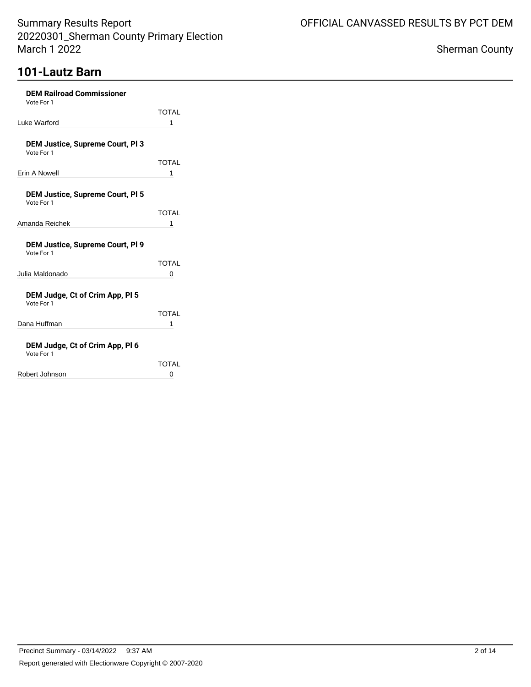# **101-Lautz Barn**

| <b>DEM Railroad Commissioner</b><br>Vote For 1        |              |
|-------------------------------------------------------|--------------|
|                                                       | <b>TOTAL</b> |
| Luke Warford                                          | 1            |
|                                                       |              |
| <b>DEM Justice, Supreme Court, PI 3</b><br>Vote For 1 |              |
|                                                       | <b>TOTAL</b> |
| Erin A Nowell                                         | 1            |
|                                                       |              |
| <b>DEM Justice, Supreme Court, PI 5</b><br>Vote For 1 |              |
|                                                       | <b>TOTAL</b> |
| Amanda Reichek                                        | 1            |
|                                                       |              |
| <b>DEM Justice, Supreme Court, PI 9</b><br>Vote For 1 |              |
|                                                       | <b>TOTAL</b> |
| Julia Maldonado                                       | 0            |
|                                                       |              |
| DEM Judge, Ct of Crim App, PI 5<br>Vote For 1         |              |
|                                                       | <b>TOTAL</b> |
| Dana Huffman                                          | 1            |
|                                                       |              |
| DEM Judge, Ct of Crim App, PI 6<br>Vote For 1         |              |
|                                                       | TOTAL        |
| Robert Johnson                                        | 0            |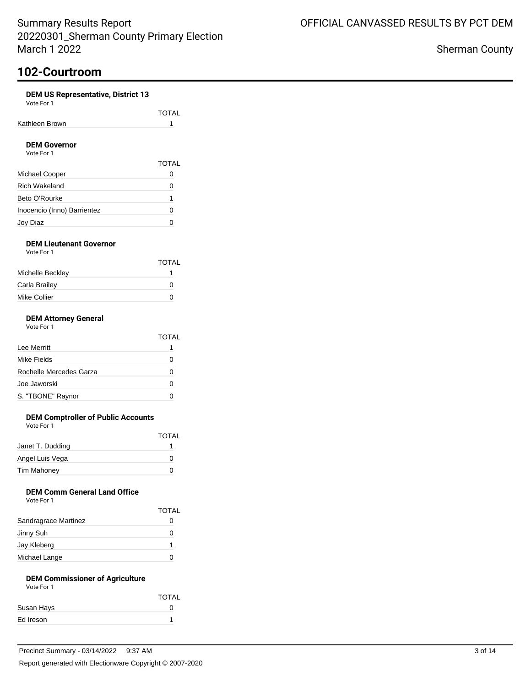### **DEM US Representative, District 13**

Vote For 1

|                | <b>TOTAL</b> |
|----------------|--------------|
| Kathleen Brown |              |
|                |              |

### **DEM Governor**

| Vote For 1                  |              |  |
|-----------------------------|--------------|--|
|                             | <b>TOTAL</b> |  |
| Michael Cooper              | 0            |  |
| <b>Rich Wakeland</b>        | $\mathbf{I}$ |  |
| Beto O'Rourke               |              |  |
| Inocencio (Inno) Barrientez | O            |  |
| Joy Diaz                    |              |  |

### **DEM Lieutenant Governor** Vote For 1

|                  | TOTAL |
|------------------|-------|
| Michelle Beckley |       |
| Carla Brailey    | O     |
| Mike Collier     | O     |
|                  |       |

### **DEM Attorney General**

| Vote For 1 |  |
|------------|--|
|            |  |

|                         | TOTAL |
|-------------------------|-------|
| Lee Merritt             |       |
| Mike Fields             |       |
| Rochelle Mercedes Garza |       |
| Joe Jaworski            |       |
| S. "TBONE" Raynor       |       |

### **DEM Comptroller of Public Accounts**

Vote For 1

|                    | <b>TOTAL</b> |
|--------------------|--------------|
| Janet T. Dudding   |              |
| Angel Luis Vega    | 0            |
| <b>Tim Mahoney</b> | O            |
|                    |              |

### **DEM Comm General Land Office**

| Vote For 1 |  |
|------------|--|
|            |  |

|                      | <b>TOTAL</b> |
|----------------------|--------------|
| Sandragrace Martinez | 0            |
| Jinny Suh            |              |
| Jay Kleberg          |              |
| Michael Lange        |              |

#### **DEM Commissioner of Agriculture** Vote For 1

| <b>TOTAL</b> |
|--------------|
| $^{\circ}$   |
|              |
|              |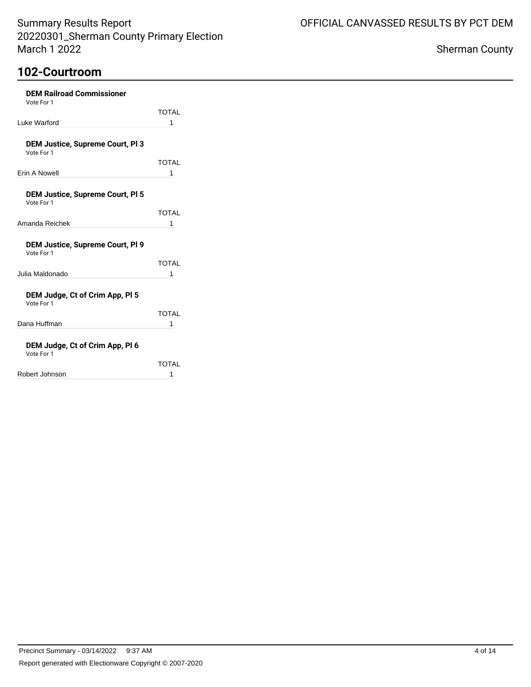| <b>DEM Railroad Commissioner</b><br>Vote For 1        |              |
|-------------------------------------------------------|--------------|
|                                                       | <b>TOTAL</b> |
| Luke Warford                                          | 1            |
|                                                       |              |
| <b>DEM Justice, Supreme Court, PI 3</b><br>Vote For 1 |              |
|                                                       | <b>TOTAL</b> |
| Erin A Nowell                                         | 1            |
|                                                       |              |
| DEM Justice, Supreme Court, PI 5<br>Vote For 1        |              |
|                                                       | <b>TOTAL</b> |
| Amanda Reichek                                        | 1            |
| DEM Justice, Supreme Court, PI 9<br>Vote For 1        |              |
|                                                       | TOTAI        |
| Julia Maldonado                                       | 1            |
| DEM Judge, Ct of Crim App, PI 5<br>Vote For 1         |              |
|                                                       | <b>TOTAL</b> |
| Dana Huffman                                          | 1            |
| DEM Judge, Ct of Crim App, PI 6<br>Vote For 1         |              |
|                                                       | TOTAL        |
| Robert Johnson                                        | 1            |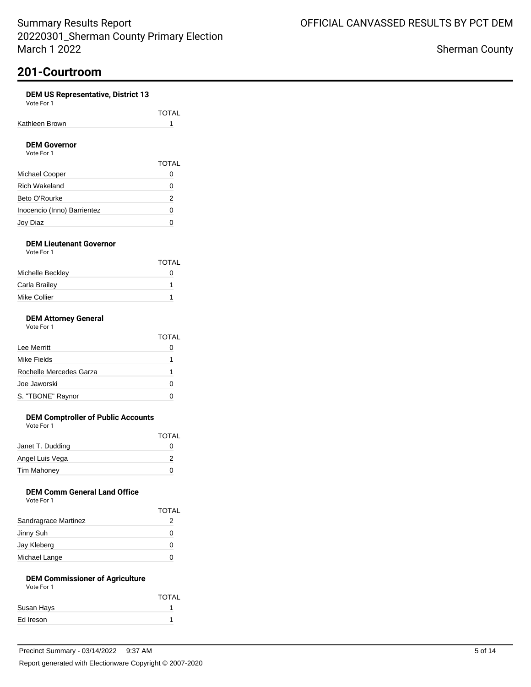### **DEM US Representative, District 13**

| Vote For 1 |  |
|------------|--|
|            |  |

|                | TOTAL |
|----------------|-------|
| Kathleen Brown |       |
|                |       |

### **DEM Governor**

| Vote For 1                  |              |
|-----------------------------|--------------|
|                             | <b>TOTAL</b> |
| Michael Cooper              |              |
| Rich Wakeland               |              |
| Beto O'Rourke               | 2            |
| Inocencio (Inno) Barrientez | O            |
| Joy Diaz                    |              |

### **DEM Lieutenant Governor** Vote For 1

|                  | TOTAL        |
|------------------|--------------|
| Michelle Beckley | $\mathbf{I}$ |
| Carla Brailey    |              |
| Mike Collier     |              |
|                  |              |

#### **DEM Attorney General** Vote For 1

| VOTE FOL L              |       |
|-------------------------|-------|
|                         | TOTAL |
| Lee Merritt             |       |
| Mike Fields             |       |
| Rochelle Mercedes Garza |       |
| Joe Jaworski            |       |

### **DEM Comptroller of Public Accounts**

S. "TBONE" Raynor 0

Vote For 1

|                    | TOTAL        |
|--------------------|--------------|
| Janet T. Dudding   | $\mathbf{I}$ |
| Angel Luis Vega    |              |
| <b>Tim Mahoney</b> | $\mathbf{I}$ |
|                    |              |

### **DEM Comm General Land Office**

|                      | <b>TOTAL</b> |
|----------------------|--------------|
| Sandragrace Martinez | 2            |
| Jinny Suh            |              |
| Jay Kleberg          |              |
| Michael Lange        |              |

## **DEM Commissioner of Agriculture**

| Vote For 1 |              |
|------------|--------------|
|            | <b>TOTAL</b> |
| Susan Hays |              |
| Ed Ireson  |              |
|            |              |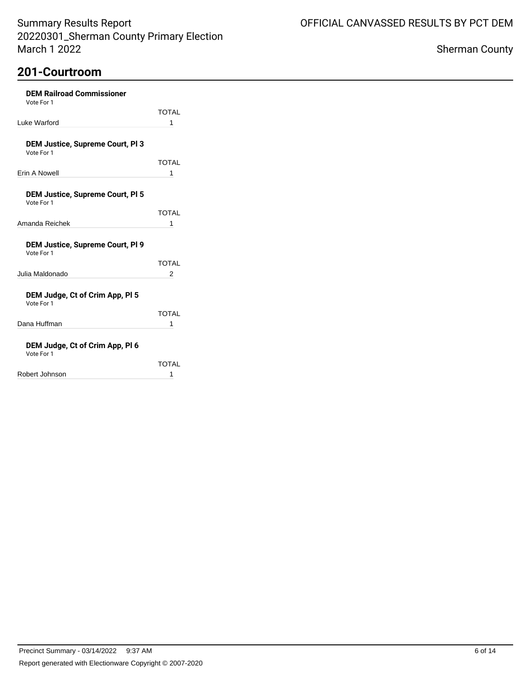| <b>DEM Railroad Commissioner</b><br>Vote For 1        |              |
|-------------------------------------------------------|--------------|
|                                                       | <b>TOTAL</b> |
| Luke Warford                                          | 1            |
|                                                       |              |
| <b>DEM Justice, Supreme Court, PI 3</b><br>Vote For 1 |              |
|                                                       | TOTAL        |
| Erin A Nowell                                         | 1            |
| <b>DEM Justice, Supreme Court, PI 5</b>               |              |
| Vote For 1                                            |              |
|                                                       | <b>TOTAL</b> |
| Amanda Reichek                                        | 1            |
| <b>DEM Justice, Supreme Court, PI 9</b><br>Vote For 1 |              |
|                                                       | TOTAL        |
| Julia Maldonado                                       | 2            |
| DEM Judge, Ct of Crim App, PI 5<br>Vote For 1         |              |
|                                                       | TOTAL        |
| Dana Huffman                                          | 1            |
| DEM Judge, Ct of Crim App, PI 6<br>Vote For 1         |              |
|                                                       | TOTAL        |
| Robert Johnson                                        | 1            |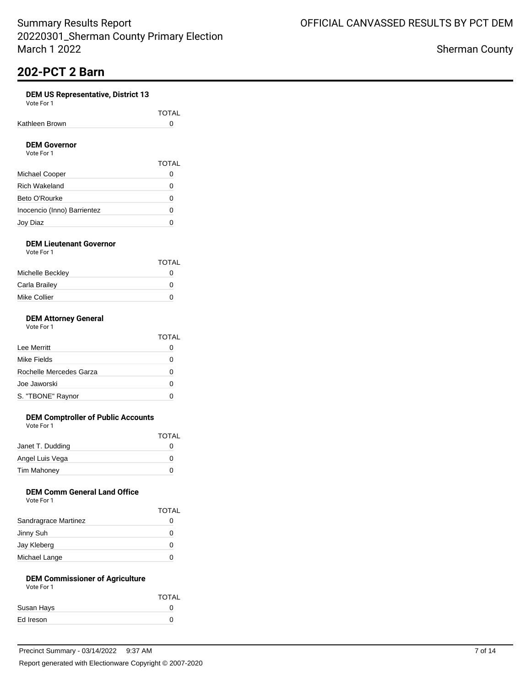# **202-PCT 2 Barn**

### **DEM US Representative, District 13**

| Vote For 1 |  |
|------------|--|
|------------|--|

|                | TOTAL |
|----------------|-------|
| Kathleen Brown |       |
|                |       |

#### **DEM Governor** Vote For 1

| VOLE FOI T                  |              |
|-----------------------------|--------------|
|                             | <b>TOTAL</b> |
| Michael Cooper              |              |
| <b>Rich Wakeland</b>        | 0            |
| Beto O'Rourke               | Ω            |
| Inocencio (Inno) Barrientez | Ω            |
| Joy Diaz                    |              |

### **DEM Lieutenant Governor** Vote For 1

|                  | TOTAL |
|------------------|-------|
| Michelle Beckley | O     |
| Carla Brailey    | O     |
| Mike Collier     | O     |

### **DEM Attorney General**

|                         | TOTAI        |
|-------------------------|--------------|
| Lee Merritt             | 0            |
| Mike Fields             | $\mathbf{I}$ |
| Rochelle Mercedes Garza | 0            |
| Joe Jaworski            | O            |
| S. "TBONE" Raynor       | $\lceil$     |

### **DEM Comptroller of Public Accounts**

Vote For 1

|                    | TOTAL        |
|--------------------|--------------|
| Janet T. Dudding   | $\mathbf{O}$ |
| Angel Luis Vega    | O            |
| <b>Tim Mahoney</b> | O            |
|                    |              |

### **DEM Comm General Land Office**

|  | Vote For 1 |  |  |  |
|--|------------|--|--|--|
|--|------------|--|--|--|

|                      | <b>TOTAL</b> |
|----------------------|--------------|
| Sandragrace Martinez | 0            |
| Jinny Suh            | 0            |
| Jay Kleberg          |              |
| Michael Lange        |              |

#### **DEM Commissioner of Agriculture** Vote For 1

| .          |              |
|------------|--------------|
|            | <b>TOTAL</b> |
| Susan Hays |              |
| Ed Ireson  |              |
|            |              |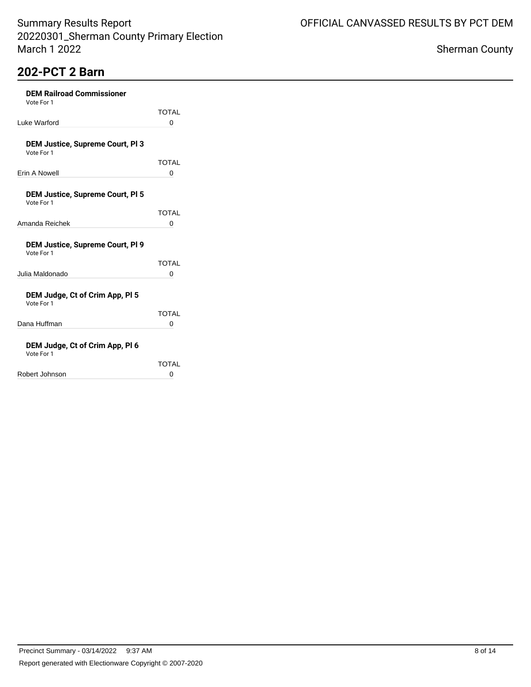# **202-PCT 2 Barn**

| <b>DEM Railroad Commissioner</b><br>Vote For 1        |       |
|-------------------------------------------------------|-------|
|                                                       | TOTAL |
| Luke Warford                                          | 0     |
| <b>DEM Justice, Supreme Court, PI 3</b><br>Vote For 1 |       |
|                                                       | TOTAL |
| Erin A Nowell                                         | 0     |
|                                                       |       |
| <b>DEM Justice, Supreme Court, PI 5</b><br>Vote For 1 |       |
|                                                       | TOTAL |
| Amanda Reichek                                        | 0     |
| <b>DEM Justice, Supreme Court, PI 9</b><br>Vote For 1 |       |
|                                                       | TOTAI |
| Julia Maldonado                                       | 0     |
| DEM Judge, Ct of Crim App, PI 5<br>Vote For 1         |       |
|                                                       | TOTAL |
| Dana Huffman                                          | 0     |
| DEM Judge, Ct of Crim App, PI 6<br>Vote For 1         |       |
|                                                       | TOTAL |
| Robert Johnson                                        | 0     |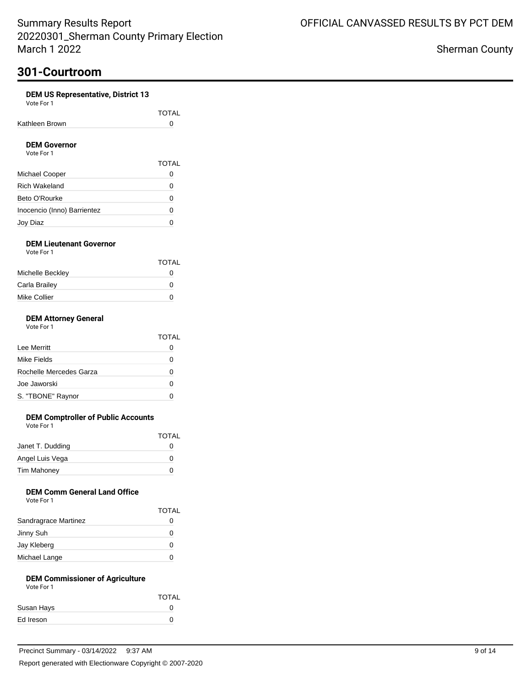### **DEM US Representative, District 13**

| Vote For 1 |  |
|------------|--|
|            |  |

|                | TOTAL |
|----------------|-------|
| Kathleen Brown |       |
|                |       |

#### **DEM Governor** Vote For 1

| Vote For 1                  |              |
|-----------------------------|--------------|
|                             | <b>TOTAL</b> |
| Michael Cooper              |              |
| Rich Wakeland               | Ω            |
| Beto O'Rourke               | Ω            |
| Inocencio (Inno) Barrientez | 0            |
| Joy Diaz                    |              |

### **DEM Lieutenant Governor** Vote For 1

| .                |              |
|------------------|--------------|
|                  | <b>TOTAL</b> |
| Michelle Beckley | O            |
| Carla Brailey    | O            |
| Mike Collier     | O            |
|                  |              |

#### **DEM Attorney General** Vote For 1

| 1 U U U | . . |  |
|---------|-----|--|
|         |     |  |
|         |     |  |
|         |     |  |
|         |     |  |

|                         | TOTAL        |
|-------------------------|--------------|
| Lee Merritt             |              |
| Mike Fields             |              |
| Rochelle Mercedes Garza |              |
| Joe Jaworski            | $\mathbf{I}$ |
| S. "TBONE" Raynor       |              |

### **DEM Comptroller of Public Accounts**

Vote For 1

|                    | TOTAL        |
|--------------------|--------------|
| Janet T. Dudding   | $\mathbf{I}$ |
| Angel Luis Vega    | O            |
| <b>Tim Mahoney</b> | O            |
|                    |              |

### **DEM Comm General Land Office**

| Vote For |  |  |
|----------|--|--|
|          |  |  |

|                      | <b>TOTAL</b> |
|----------------------|--------------|
| Sandragrace Martinez |              |
| Jinny Suh            |              |
| Jay Kleberg          |              |
| Michael Lange        |              |

## **DEM Commissioner of Agriculture**

| Vote For 1 |                   |
|------------|-------------------|
|            | <b>TOTAL</b>      |
| Susan Hays | $\mathbf{\Omega}$ |
| Ed Ireson  | $\mathbf{a}$      |
|            |                   |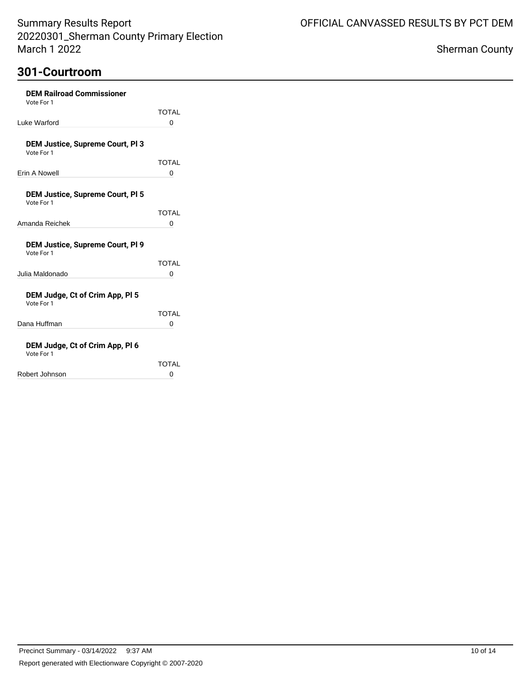| <b>DEM Railroad Commissioner</b><br>Vote For 1        |       |
|-------------------------------------------------------|-------|
|                                                       | TOTAL |
| Luke Warford                                          | 0     |
| <b>DEM Justice, Supreme Court, PI 3</b><br>Vote For 1 |       |
|                                                       | TOTAI |
| Frin A Nowell                                         | 0     |
|                                                       |       |
| <b>DEM Justice, Supreme Court, PI 5</b><br>Vote For 1 |       |
|                                                       | TOTAI |
| Amanda Reichek                                        | 0     |
|                                                       |       |
| <b>DEM Justice, Supreme Court, PI 9</b><br>Vote For 1 |       |
|                                                       | TOTAL |
| Julia Maldonado                                       | 0     |
|                                                       |       |
| DEM Judge, Ct of Crim App, PI 5<br>Vote For 1         |       |
|                                                       | TOTAL |
| Dana Huffman                                          | 0     |
| DEM Judge, Ct of Crim App, PI 6                       |       |
|                                                       |       |

| Vote For 1     |              |
|----------------|--------------|
|                | <b>TOTAL</b> |
| Robert Johnson | O            |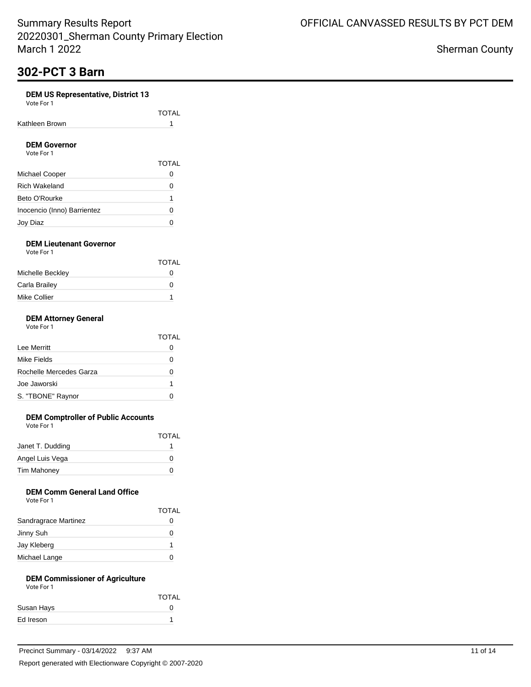# **302-PCT 3 Barn**

### **DEM US Representative, District 13**

| Vote For |  |
|----------|--|
|----------|--|

| Kathleen Brown | TOTAL |
|----------------|-------|
|                |       |

### **DEM Governor**

| Vote For 1                  |              |
|-----------------------------|--------------|
|                             | <b>TOTAL</b> |
| Michael Cooper              | 0            |
| Rich Wakeland               | O            |
| Beto O'Rourke               |              |
| Inocencio (Inno) Barrientez | 0            |
| Joy Diaz                    |              |

#### **DEM Lieutenant Governor** Vote For 1

| .                | <b>TOTAL</b> |
|------------------|--------------|
| Michelle Beckley | O            |
| Carla Brailey    | O            |
| Mike Collier     |              |

### **DEM Attorney General**

|  | Vote For 1 |  |
|--|------------|--|
|  |            |  |

|                         | TOTAI        |
|-------------------------|--------------|
| Lee Merritt             | 0            |
| Mike Fields             | 0            |
| Rochelle Mercedes Garza | 0            |
| Joe Jaworski            | 1            |
| S. "TBONE" Raynor       | $\mathbf{I}$ |

### **DEM Comptroller of Public Accounts**

Vote For 1

|                    | <b>TOTAL</b> |
|--------------------|--------------|
| Janet T. Dudding   |              |
| Angel Luis Vega    | 0            |
| <b>Tim Mahoney</b> | 0            |
|                    |              |

### **DEM Comm General Land Office**

| Vote For 1 |  |  |
|------------|--|--|
|------------|--|--|

|                      | <b>TOTAL</b> |
|----------------------|--------------|
| Sandragrace Martinez |              |
| Jinny Suh            | 0            |
| Jay Kleberg          |              |
| Michael Lange        |              |

#### **DEM Commissioner of Agriculture** Vote For 1

| .          |              |
|------------|--------------|
|            | <b>TOTAL</b> |
| Susan Hays |              |
| Ed Ireson  |              |
|            |              |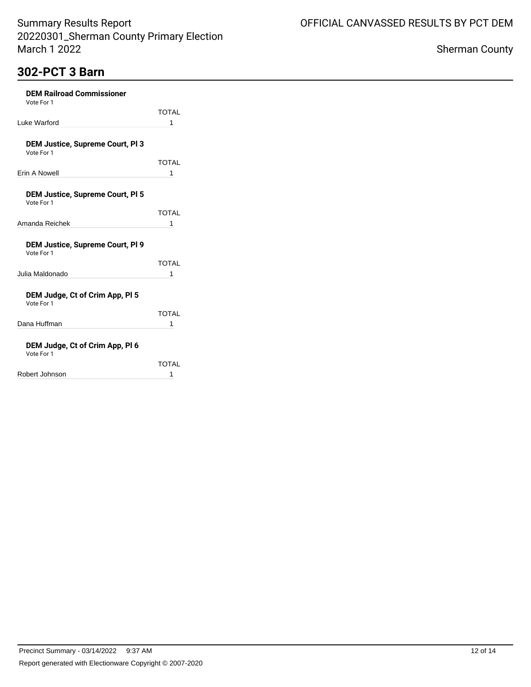# **302-PCT 3 Barn**

| <b>DEM Railroad Commissioner</b><br>Vote For 1        |              |
|-------------------------------------------------------|--------------|
|                                                       | TOTAL        |
| Luke Warford                                          | 1            |
|                                                       |              |
| <b>DEM Justice, Supreme Court, PI 3</b><br>Vote For 1 |              |
|                                                       | <b>TOTAL</b> |
| Erin A Nowell                                         | 1            |
|                                                       |              |
| <b>DEM Justice, Supreme Court, PI 5</b><br>Vote For 1 |              |
|                                                       | TOTAL        |
| Amanda Reichek                                        | 1            |
| <b>DEM Justice, Supreme Court, PI 9</b><br>Vote For 1 |              |
|                                                       | <b>TOTAL</b> |
| Julia Maldonado                                       | 1            |
| DEM Judge, Ct of Crim App, PI 5<br>Vote For 1         |              |
|                                                       | TOTAI        |
| Dana Huffman                                          | 1            |
| DEM Judge, Ct of Crim App, PI 6<br>Vote For 1         |              |
|                                                       | TOTAL        |
| Robert Johnson                                        | 1            |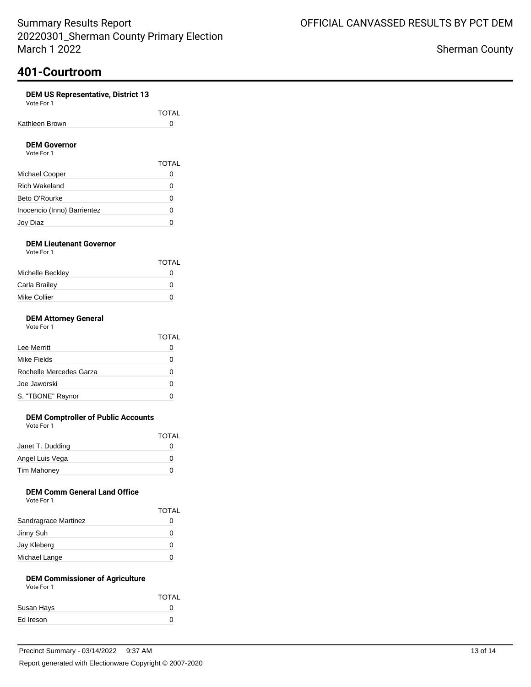### **DEM US Representative, District 13**

|                | TOTAL |
|----------------|-------|
| Kathleen Brown |       |

### **DEM Governor**

| Vote For 1                  |              |
|-----------------------------|--------------|
|                             | <b>TOTAL</b> |
| Michael Cooper              | 0            |
| <b>Rich Wakeland</b>        | Ω            |
| Beto O'Rourke               | O            |
| Inocencio (Inno) Barrientez | O            |
| Joy Diaz                    |              |

### **DEM Lieutenant Governor** Vote For 1

|                  | TOTAL |
|------------------|-------|
| Michelle Beckley | O     |
| Carla Brailey    | O     |
| Mike Collier     | O     |

### **DEM Attorney General**

| Vote For 1 |  |
|------------|--|
|------------|--|

|                         | TOTAI        |
|-------------------------|--------------|
| Lee Merritt             | 0            |
| Mike Fields             | $\mathbf{I}$ |
| Rochelle Mercedes Garza | 0            |
| Joe Jaworski            | O            |
| S. "TBONE" Raynor       | $\lceil$     |

### **DEM Comptroller of Public Accounts**

Vote For 1

|                    | <b>TOTAL</b> |
|--------------------|--------------|
| Janet T. Dudding   | $\mathbf{I}$ |
| Angel Luis Vega    | 0            |
| <b>Tim Mahoney</b> | O            |

### **DEM Comm General Land Office**

| Vote For 1 |
|------------|
|------------|

|                      | <b>TOTAL</b> |
|----------------------|--------------|
| Sandragrace Martinez | 0            |
| Jinny Suh            | 0            |
| Jay Kleberg          | 0            |
| Michael Lange        |              |

#### **DEM Commissioner of Agriculture** Vote For 1

| .          |              |
|------------|--------------|
|            | <b>TOTAL</b> |
| Susan Hays |              |
| Ed Ireson  | $^{\circ}$   |
|            |              |